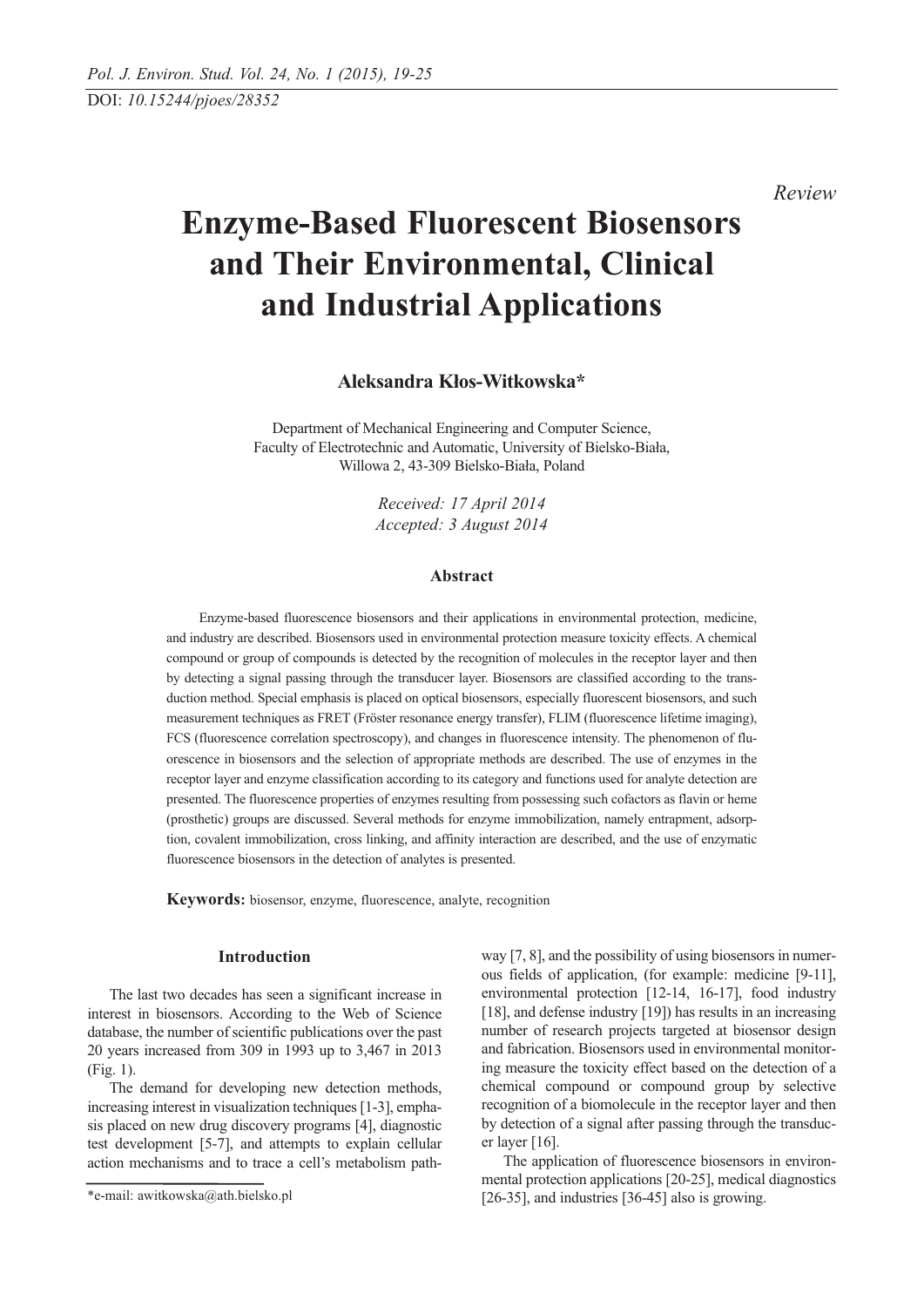*Review* 

# **Enzyme-Based Fluorescent Biosensors and Their Environmental, Clinical and Industrial Applications**

**Aleksandra Kłos-Witkowska\***

Department of Mechanical Engineering and Computer Science, Faculty of Electrotechnic and Automatic, University of Bielsko-Biała, Willowa 2, 43-309 Bielsko-Biała, Poland

> *Received: 17 April 2014 Accepted: 3 August 2014*

# **Abstract**

Enzyme-based fluorescence biosensors and their applications in environmental protection, medicine, and industry are described. Biosensors used in environmental protection measure toxicity effects. A chemical compound or group of compounds is detected by the recognition of molecules in the receptor layer and then by detecting a signal passing through the transducer layer. Biosensors are classified according to the transduction method. Special emphasis is placed on optical biosensors, especially fluorescent biosensors, and such measurement techniques as FRET (Fröster resonance energy transfer), FLIM (fluorescence lifetime imaging), FCS (fluorescence correlation spectroscopy), and changes in fluorescence intensity. The phenomenon of fluorescence in biosensors and the selection of appropriate methods are described. The use of enzymes in the receptor layer and enzyme classification according to its category and functions used for analyte detection are presented. The fluorescence properties of enzymes resulting from possessing such cofactors as flavin or heme (prosthetic) groups are discussed. Several methods for enzyme immobilization, namely entrapment, adsorption, covalent immobilization, cross linking, and affinity interaction are described, and the use of enzymatic fluorescence biosensors in the detection of analytes is presented.

**Keywords:** biosensor, enzyme, fluorescence, analyte, recognition

# **Introduction**

The last two decades has seen a significant increase in interest in biosensors. According to the Web of Science database, the number of scientific publications over the past 20 years increased from 309 in 1993 up to 3,467 in 2013 (Fig. 1).

The demand for developing new detection methods, increasing interest in visualization techniques [1-3], emphasis placed on new drug discovery programs [4], diagnostic test development [5-7], and attempts to explain cellular action mechanisms and to trace a cell's metabolism pathway [7, 8], and the possibility of using biosensors in numerous fields of application, (for example: medicine [9-11], environmental protection [12-14, 16-17], food industry [18], and defense industry [19]) has results in an increasing number of research projects targeted at biosensor design and fabrication. Biosensors used in environmental monitoring measure the toxicity effect based on the detection of a chemical compound or compound group by selective recognition of a biomolecule in the receptor layer and then by detection of a signal after passing through the transducer layer [16].

The application of fluorescence biosensors in environmental protection applications [20-25], medical diagnostics [26-35], and industries [36-45] also is growing.

<sup>\*</sup>e-mail: awitkowska@ath.bielsko.pl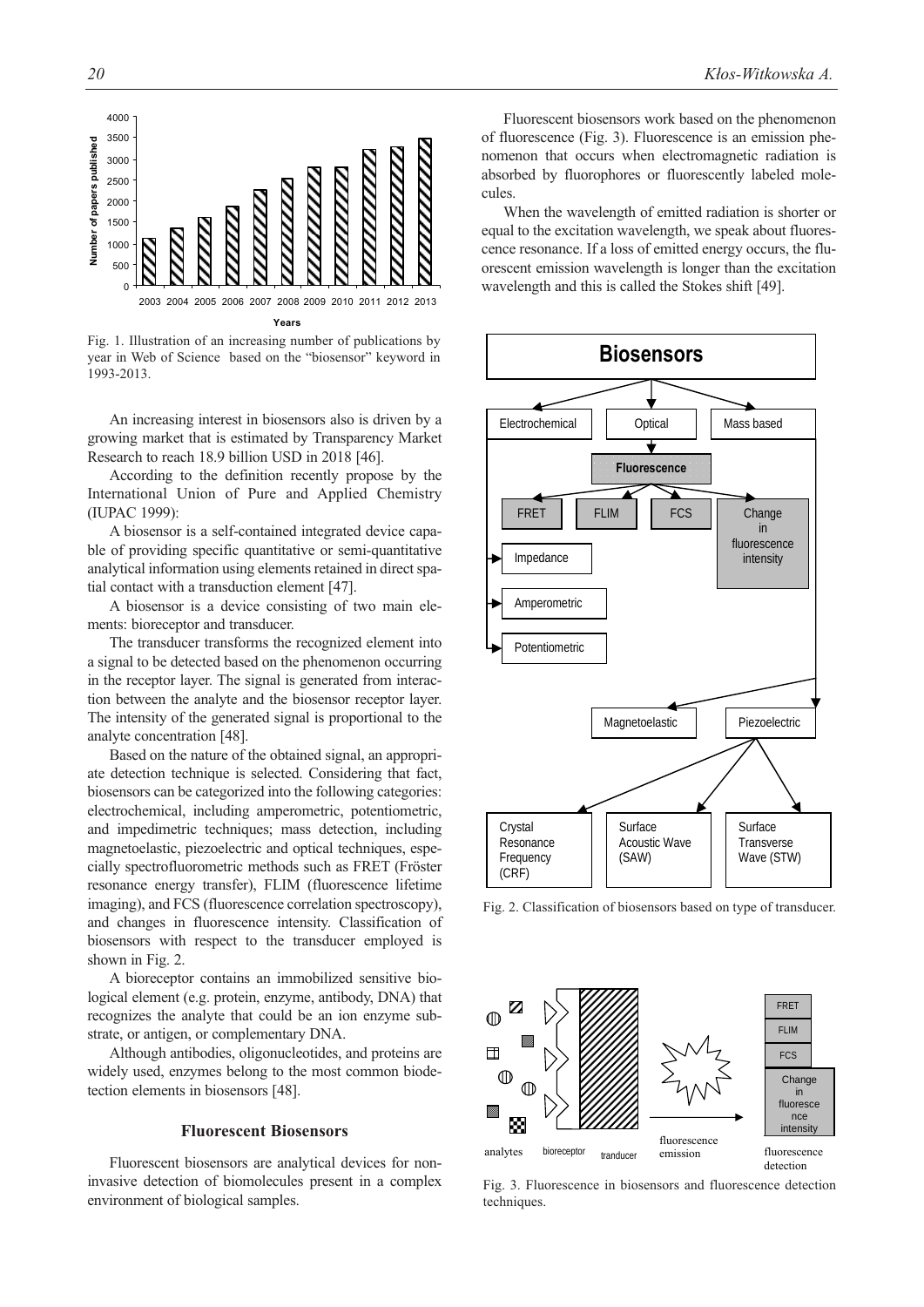

Fig. 1. Illustration of an increasing number of publications by year in Web of Science based on the "biosensor" keyword in 1993-2013.

An increasing interest in biosensors also is driven by a growing market that is estimated by Transparency Market Research to reach 18.9 billion USD in 2018 [46].

According to the definition recently propose by the International Union of Pure and Applied Chemistry (IUPAC 1999):

A biosensor is a self-contained integrated device capable of providing specific quantitative or semi-quantitative analytical information using elements retained in direct spatial contact with a transduction element [47].

A biosensor is a device consisting of two main elements: bioreceptor and transducer.

The transducer transforms the recognized element into a signal to be detected based on the phenomenon occurring in the receptor layer. The signal is generated from interaction between the analyte and the biosensor receptor layer. The intensity of the generated signal is proportional to the analyte concentration [48].

Based on the nature of the obtained signal, an appropriate detection technique is selected. Considering that fact, biosensors can be categorized into the following categories: electrochemical, including amperometric, potentiometric, and impedimetric techniques; mass detection, including magnetoelastic, piezoelectric and optical techniques, especially spectrofluorometric methods such as FRET (Fröster resonance energy transfer), FLIM (fluorescence lifetime imaging), and FCS (fluorescence correlation spectroscopy), and changes in fluorescence intensity. Classification of biosensors with respect to the transducer employed is shown in Fig. 2.

A bioreceptor contains an immobilized sensitive biological element (e.g. protein, enzyme, antibody, DNA) that recognizes the analyte that could be an ion enzyme substrate, or antigen, or complementary DNA.

Although antibodies, oligonucleotides, and proteins are widely used, enzymes belong to the most common biodetection elements in biosensors [48].

# **Fluorescent Biosensors**

Fluorescent biosensors are analytical devices for noninvasive detection of biomolecules present in a complex environment of biological samples.

Fluorescent biosensors work based on the phenomenon of fluorescence (Fig. 3). Fluorescence is an emission phenomenon that occurs when electromagnetic radiation is absorbed by fluorophores or fluorescently labeled molecules.

When the wavelength of emitted radiation is shorter or equal to the excitation wavelength, we speak about fluorescence resonance. If a loss of emitted energy occurs, the fluorescent emission wavelength is longer than the excitation wavelength and this is called the Stokes shift [49].



Fig. 2. Classification of biosensors based on type of transducer.



Fig. 3. Fluorescence in biosensors and fluorescence detection techniques.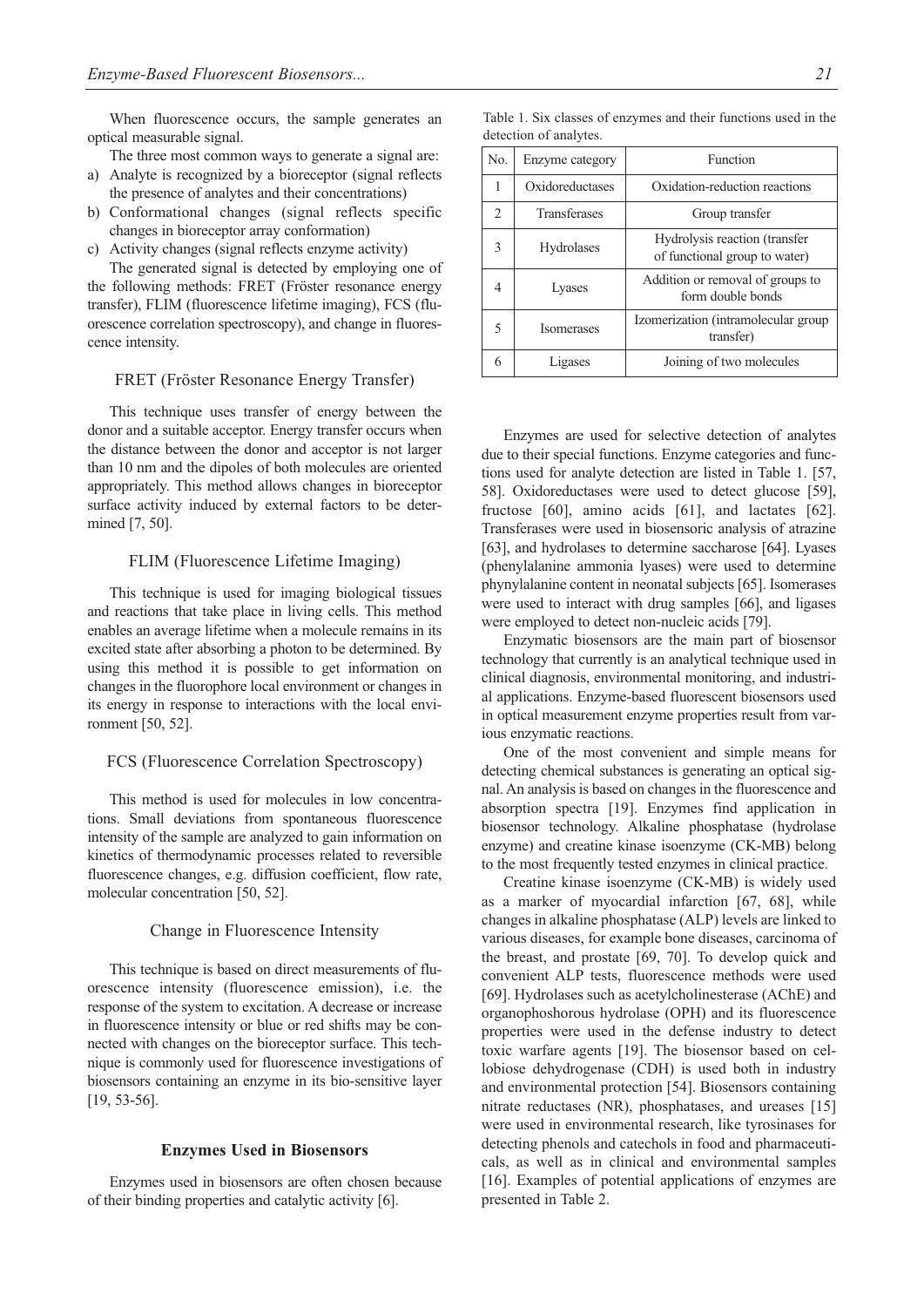When fluorescence occurs, the sample generates an optical measurable signal.

- The three most common ways to generate a signal are:
- a) Analyte is recognized by a bioreceptor (signal reflects the presence of analytes and their concentrations)
- b) Conformational changes (signal reflects specific changes in bioreceptor array conformation)

c) Activity changes (signal reflects enzyme activity)

The generated signal is detected by employing one of the following methods: FRET (Fröster resonance energy transfer), FLIM (fluorescence lifetime imaging), FCS (fluorescence correlation spectroscopy), and change in fluorescence intensity.

## FRET (Fröster Resonance Energy Transfer)

This technique uses transfer of energy between the donor and a suitable acceptor. Energy transfer occurs when the distance between the donor and acceptor is not larger than 10 nm and the dipoles of both molecules are oriented appropriately. This method allows changes in bioreceptor surface activity induced by external factors to be determined [7, 50].

# FLIM (Fluorescence Lifetime Imaging)

This technique is used for imaging biological tissues and reactions that take place in living cells. This method enables an average lifetime when a molecule remains in its excited state after absorbing a photon to be determined. By using this method it is possible to get information on changes in the fluorophore local environment or changes in its energy in response to interactions with the local environment [50, 52].

# FCS (Fluorescence Correlation Spectroscopy)

This method is used for molecules in low concentrations. Small deviations from spontaneous fluorescence intensity of the sample are analyzed to gain information on kinetics of thermodynamic processes related to reversible fluorescence changes, e.g. diffusion coefficient, flow rate, molecular concentration [50, 52].

#### Change in Fluorescence Intensity

This technique is based on direct measurements of fluorescence intensity (fluorescence emission), i.e. the response of the system to excitation. A decrease or increase in fluorescence intensity or blue or red shifts may be connected with changes on the bioreceptor surface. This technique is commonly used for fluorescence investigations of biosensors containing an enzyme in its bio-sensitive layer [19, 53-56].

#### **Enzymes Used in Biosensors**

Enzymes used in biosensors are often chosen because of their binding properties and catalytic activity [6].

|  |                        |  |  | Table 1. Six classes of enzymes and their functions used in the |  |  |
|--|------------------------|--|--|-----------------------------------------------------------------|--|--|
|  | detection of analytes. |  |  |                                                                 |  |  |

| N <sub>0</sub>                | Enzyme category     | Function                                                       |  |  |
|-------------------------------|---------------------|----------------------------------------------------------------|--|--|
|                               | Oxidoreductases     | Oxidation-reduction reactions                                  |  |  |
| $\mathfrak{D}_{\mathfrak{p}}$ | <b>Transferases</b> | Group transfer                                                 |  |  |
| $\mathbf{3}$                  | Hydrolases          | Hydrolysis reaction (transfer<br>of functional group to water) |  |  |
| 4                             | Lyases              | Addition or removal of groups to<br>form double bonds          |  |  |
| 5                             | <b>Isomerases</b>   | Izomerization (intramolecular group<br>transfer)               |  |  |
| 6                             | Ligases             | Joining of two molecules                                       |  |  |

Enzymes are used for selective detection of analytes due to their special functions. Enzyme categories and functions used for analyte detection are listed in Table 1. [57, 58]. Oxidoreductases were used to detect glucose [59], fructose [60], amino acids [61], and lactates [62]. Transferases were used in biosensoric analysis of atrazine [63], and hydrolases to determine saccharose [64]. Lyases (phenylalanine ammonia lyases) were used to determine phynylalanine content in neonatal subjects [65]. Isomerases were used to interact with drug samples [66], and ligases were employed to detect non-nucleic acids [79].

Enzymatic biosensors are the main part of biosensor technology that currently is an analytical technique used in clinical diagnosis, environmental monitoring, and industrial applications. Enzyme-based fluorescent biosensors used in optical measurement enzyme properties result from various enzymatic reactions.

One of the most convenient and simple means for detecting chemical substances is generating an optical signal. An analysis is based on changes in the fluorescence and absorption spectra [19]. Enzymes find application in biosensor technology. Alkaline phosphatase (hydrolase enzyme) and creatine kinase isoenzyme (CK-MB) belong to the most frequently tested enzymes in clinical practice.

Creatine kinase isoenzyme (CK-MB) is widely used as a marker of myocardial infarction [67, 68], while changes in alkaline phosphatase (ALP) levels are linked to various diseases, for example bone diseases, carcinoma of the breast, and prostate [69, 70]. To develop quick and convenient ALP tests, fluorescence methods were used [69]. Hydrolases such as acetylcholinesterase (AChE) and organophoshorous hydrolase (OPH) and its fluorescence properties were used in the defense industry to detect toxic warfare agents [19]. The biosensor based on cellobiose dehydrogenase (CDH) is used both in industry and environmental protection [54]. Biosensors containing nitrate reductases (NR), phosphatases, and ureases [15] were used in environmental research, like tyrosinases for detecting phenols and catechols in food and pharmaceuticals, as well as in clinical and environmental samples [16]. Examples of potential applications of enzymes are presented in Table 2.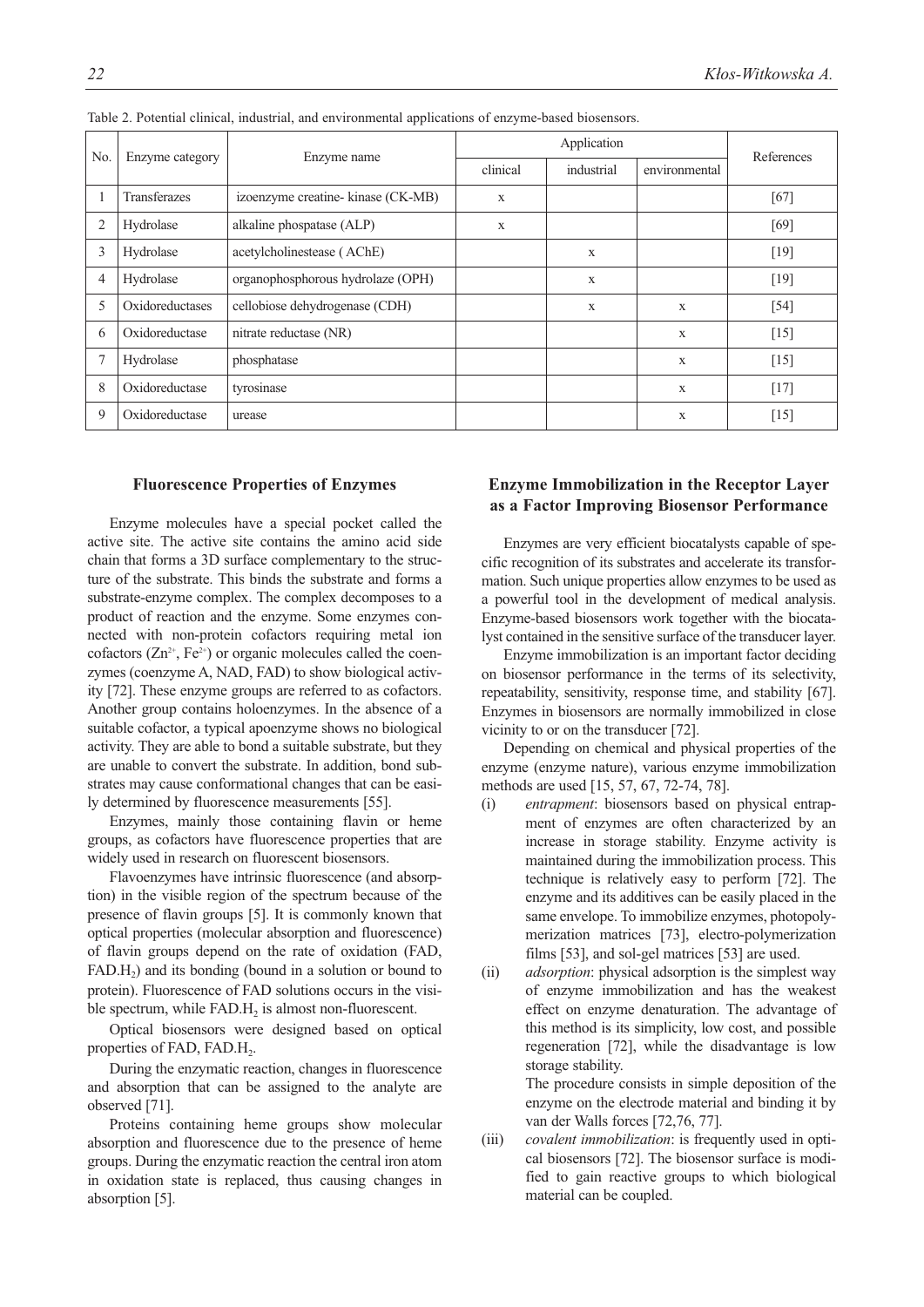| No. | Enzyme category     |                                    |             | References |               |        |  |
|-----|---------------------|------------------------------------|-------------|------------|---------------|--------|--|
|     |                     | Enzyme name                        | clinical    | industrial | environmental |        |  |
|     | <b>Transferazes</b> | izoenzyme creatine- kinase (CK-MB) | $\mathbf x$ |            |               | $[67]$ |  |
| 2   | Hydrolase           | alkaline phospatase (ALP)          | X           |            |               | $[69]$ |  |
| 3   | Hydrolase           | acetylcholinestease (AChE)         |             | X          |               | $[19]$ |  |
| 4   | Hydrolase           | organophosphorous hydrolaze (OPH)  |             | X          |               | $[19]$ |  |
| 5   | Oxidoreductases     | cellobiose dehydrogenase (CDH)     |             | X          | $\mathbf{x}$  | $[54]$ |  |
| 6   | Oxidoreductase      | nitrate reductase (NR)             |             |            | $\mathbf{X}$  | $[15]$ |  |
| 7   | Hydrolase           | phosphatase                        |             |            | $\mathbf{X}$  | $[15]$ |  |
| 8   | Oxidoreductase      | tyrosinase                         |             |            | X             | $[17]$ |  |
| 9   | Oxidoreductase      | urease                             |             |            | $\mathbf{X}$  | [15]   |  |

Table 2. Potential clinical, industrial, and environmental applications of enzyme-based biosensors.

## **Fluorescence Properties of Enzymes**

Enzyme molecules have a special pocket called the active site. The active site contains the amino acid side chain that forms a 3D surface complementary to the structure of the substrate. This binds the substrate and forms a substrate-enzyme complex. The complex decomposes to a product of reaction and the enzyme. Some enzymes connected with non-protein cofactors requiring metal ion cofactors  $(Zn^{2+}, Fe^{2+})$  or organic molecules called the coenzymes (coenzyme A, NAD, FAD) to show biological activity [72]. These enzyme groups are referred to as cofactors. Another group contains holoenzymes. In the absence of a suitable cofactor, a typical apoenzyme shows no biological activity. They are able to bond a suitable substrate, but they are unable to convert the substrate. In addition, bond substrates may cause conformational changes that can be easily determined by fluorescence measurements [55].

Enzymes, mainly those containing flavin or heme groups, as cofactors have fluorescence properties that are widely used in research on fluorescent biosensors.

Flavoenzymes have intrinsic fluorescence (and absorption) in the visible region of the spectrum because of the presence of flavin groups [5]. It is commonly known that optical properties (molecular absorption and fluorescence) of flavin groups depend on the rate of oxidation (FAD,  $FAD.H<sub>2</sub>$ ) and its bonding (bound in a solution or bound to protein). Fluorescence of FAD solutions occurs in the visible spectrum, while  $FAD.H_2$  is almost non-fluorescent.

Optical biosensors were designed based on optical properties of FAD, FAD.H<sub>2</sub>.

During the enzymatic reaction, changes in fluorescence and absorption that can be assigned to the analyte are observed [71].

Proteins containing heme groups show molecular absorption and fluorescence due to the presence of heme groups. During the enzymatic reaction the central iron atom in oxidation state is replaced, thus causing changes in absorption [5].

# **Enzyme Immobilization in the Receptor Layer as a Factor Improving Biosensor Performance**

Enzymes are very efficient biocatalysts capable of specific recognition of its substrates and accelerate its transformation. Such unique properties allow enzymes to be used as a powerful tool in the development of medical analysis. Enzyme-based biosensors work together with the biocatalyst contained in the sensitive surface of the transducer layer.

Enzyme immobilization is an important factor deciding on biosensor performance in the terms of its selectivity, repeatability, sensitivity, response time, and stability [67]. Enzymes in biosensors are normally immobilized in close vicinity to or on the transducer [72].

Depending on chemical and physical properties of the enzyme (enzyme nature), various enzyme immobilization methods are used [15, 57, 67, 72-74, 78].

- (i) *entrapment*: biosensors based on physical entrapment of enzymes are often characterized by an increase in storage stability. Enzyme activity is maintained during the immobilization process. This technique is relatively easy to perform [72]. The enzyme and its additives can be easily placed in the same envelope. To immobilize enzymes, photopolymerization matrices [73], electro-polymerization films [53], and sol-gel matrices [53] are used.
- (ii) *adsorption*: physical adsorption is the simplest way of enzyme immobilization and has the weakest effect on enzyme denaturation. The advantage of this method is its simplicity, low cost, and possible regeneration [72], while the disadvantage is low storage stability. The procedure consists in simple deposition of the

enzyme on the electrode material and binding it by van der Walls forces [72,76, 77].

(iii) *covalent immobilization*: is frequently used in optical biosensors [72]. The biosensor surface is modified to gain reactive groups to which biological material can be coupled.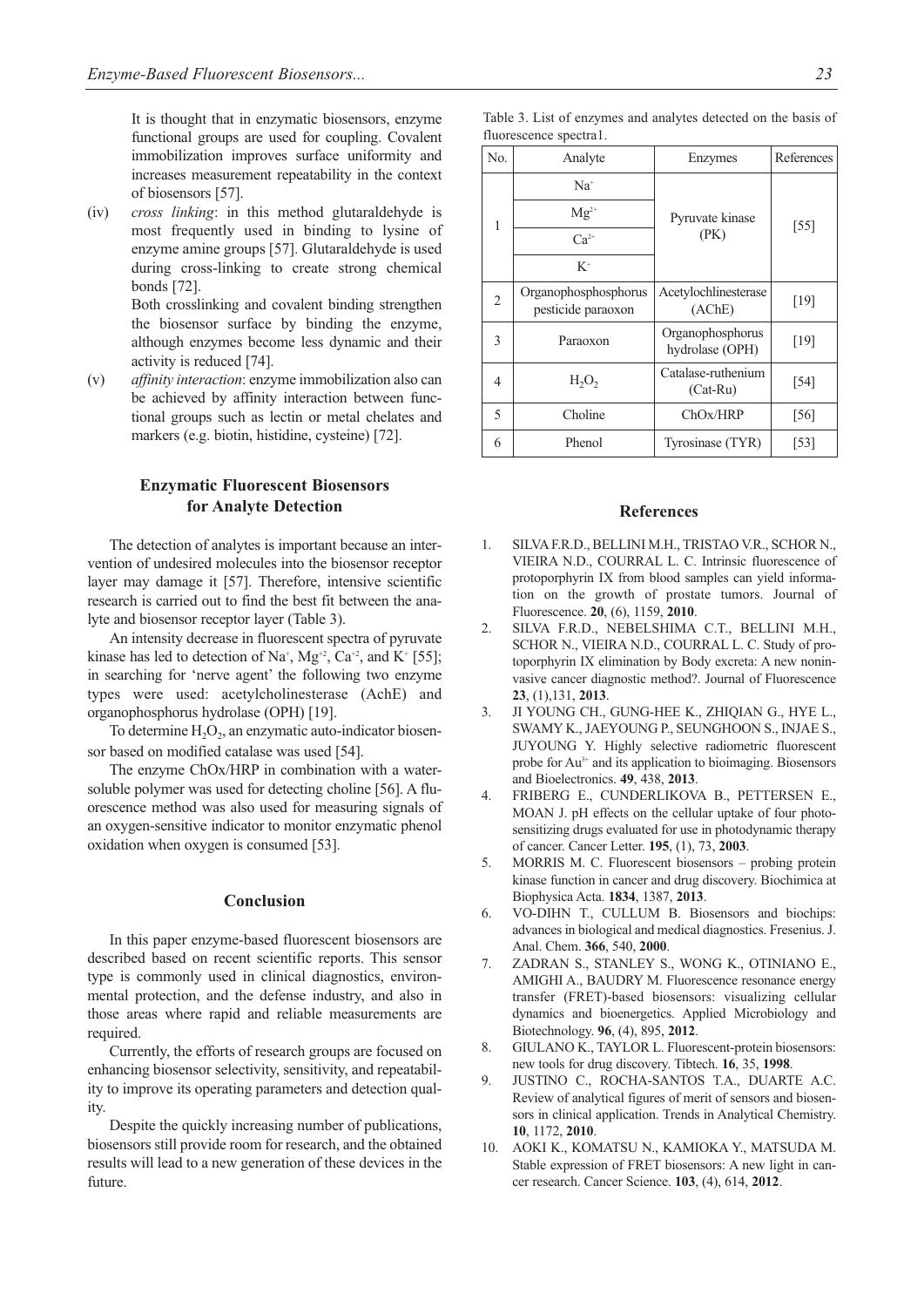It is thought that in enzymatic biosensors, enzyme functional groups are used for coupling. Covalent immobilization improves surface uniformity and increases measurement repeatability in the context of biosensors [57].

(iv) *cross linking*: in this method glutaraldehyde is most frequently used in binding to lysine of enzyme amine groups [57]. Glutaraldehyde is used during cross-linking to create strong chemical bonds [72].

> Both crosslinking and covalent binding strengthen the biosensor surface by binding the enzyme, although enzymes become less dynamic and their activity is reduced [74].

(v) *affinity interaction*: enzyme immobilization also can be achieved by affinity interaction between functional groups such as lectin or metal chelates and markers (e.g. biotin, histidine, cysteine) [72].

# **Enzymatic Fluorescent Biosensors for Analyte Detection**

The detection of analytes is important because an intervention of undesired molecules into the biosensor receptor layer may damage it [57]. Therefore, intensive scientific research is carried out to find the best fit between the analyte and biosensor receptor layer (Table 3).

An intensity decrease in fluorescent spectra of pyruvate kinase has led to detection of Na<sup>+</sup>, Mg<sup>+2</sup>, Ca<sup>+2</sup>, and K<sup>+</sup> [55]; in searching for 'nerve agent' the following two enzyme types were used: acetylcholinesterase (AchE) and organophosphorus hydrolase (OPH) [19].

To determine  $H_2O_2$ , an enzymatic auto-indicator biosensor based on modified catalase was used [54].

The enzyme ChOx/HRP in combination with a watersoluble polymer was used for detecting choline [56]. A fluorescence method was also used for measuring signals of an oxygen-sensitive indicator to monitor enzymatic phenol oxidation when oxygen is consumed [53].

# **Conclusion**

In this paper enzyme-based fluorescent biosensors are described based on recent scientific reports. This sensor type is commonly used in clinical diagnostics, environmental protection, and the defense industry, and also in those areas where rapid and reliable measurements are required.

Currently, the efforts of research groups are focused on enhancing biosensor selectivity, sensitivity, and repeatability to improve its operating parameters and detection quality.

Despite the quickly increasing number of publications, biosensors still provide room for research, and the obtained results will lead to a new generation of these devices in the future.

| No. | Analyte                                    | Enzymes                             | References |  |
|-----|--------------------------------------------|-------------------------------------|------------|--|
| 1   | $Na+$                                      |                                     |            |  |
|     | $Mg^{2+}$                                  | Pyruvate kinase                     | $[55]$     |  |
|     | $Ca^{2+}$                                  | (PK)                                |            |  |
|     | $K^+$                                      |                                     |            |  |
| 2   | Organophosphosphorus<br>pesticide paraoxon | Acetylochlinesterase<br>(AChE)      | [19]       |  |
| 3   | Paraoxon                                   | Organophosphorus<br>hydrolase (OPH) | $[19]$     |  |
| 4   | $H_2O_2$                                   | Catalase-ruthenium<br>$(Cat-Ru)$    | $[54]$     |  |
| 5   | Choline                                    | ChOx/HRP                            | [56]       |  |
| 6   | Phenol                                     | Tyrosinase (TYR)                    | $[53]$     |  |

#### **References**

- 1. SILVA F.R.D., BELLINI M.H., TRISTAO V.R., SCHOR N., VIEIRA N.D., COURRAL L. C. Intrinsic fluorescence of protoporphyrin IX from blood samples can yield information on the growth of prostate tumors. Journal of Fluorescence. **20**, (6), 1159, **2010**.
- 2. SILVA F.R.D., NEBELSHIMA C.T., BELLINI M.H., SCHOR N., VIEIRA N.D., COURRAL L. C. Study of protoporphyrin IX elimination by Body excreta: A new noninvasive cancer diagnostic method?. Journal of Fluorescence **23**, (1),131, **2013**.
- 3. JI YOUNG CH., GUNG-HEE K., ZHIQIAN G., HYE L., SWAMY K., JAEYOUNG P., SEUNGHOON S., INJAE S., JUYOUNG Y. Highly selective radiometric fluorescent probe for Au3+ and its application to bioimaging. Biosensors and Bioelectronics. **49**, 438, **2013**.
- 4. FRIBERG E., CUNDERLIKOVA B., PETTERSEN E., MOAN J. pH effects on the cellular uptake of four photosensitizing drugs evaluated for use in photodynamic therapy of cancer. Cancer Letter. **195**, (1), 73, **2003**.
- 5. MORRIS M. C. Fluorescent biosensors probing protein kinase function in cancer and drug discovery. Biochimica at Biophysica Acta. **1834**, 1387, **2013**.
- 6. VO-DIHN T., CULLUM B. Biosensors and biochips: advances in biological and medical diagnostics. Fresenius. J. Anal. Chem. **366**, 540, **2000**.
- 7. ZADRAN S., STANLEY S., WONG K., OTINIANO E., AMIGHI A., BAUDRY M. Fluorescence resonance energy transfer (FRET)-based biosensors: visualizing cellular dynamics and bioenergetics. Applied Microbiology and Biotechnology. **96**, (4), 895, **2012**.
- 8. GIULANO K., TAYLOR L. Fluorescent-protein biosensors: new tools for drug discovery. Tibtech. **16**, 35, **1998**.
- 9. JUSTINO C., ROCHA-SANTOS T.A., DUARTE A.C. Review of analytical figures of merit of sensors and biosensors in clinical application. Trends in Analytical Chemistry. **10**, 1172, **2010**.
- 10. AOKI K., KOMATSU N., KAMIOKA Y., MATSUDA M. Stable expression of FRET biosensors: A new light in cancer research. Cancer Science. **103**, (4), 614, **2012**.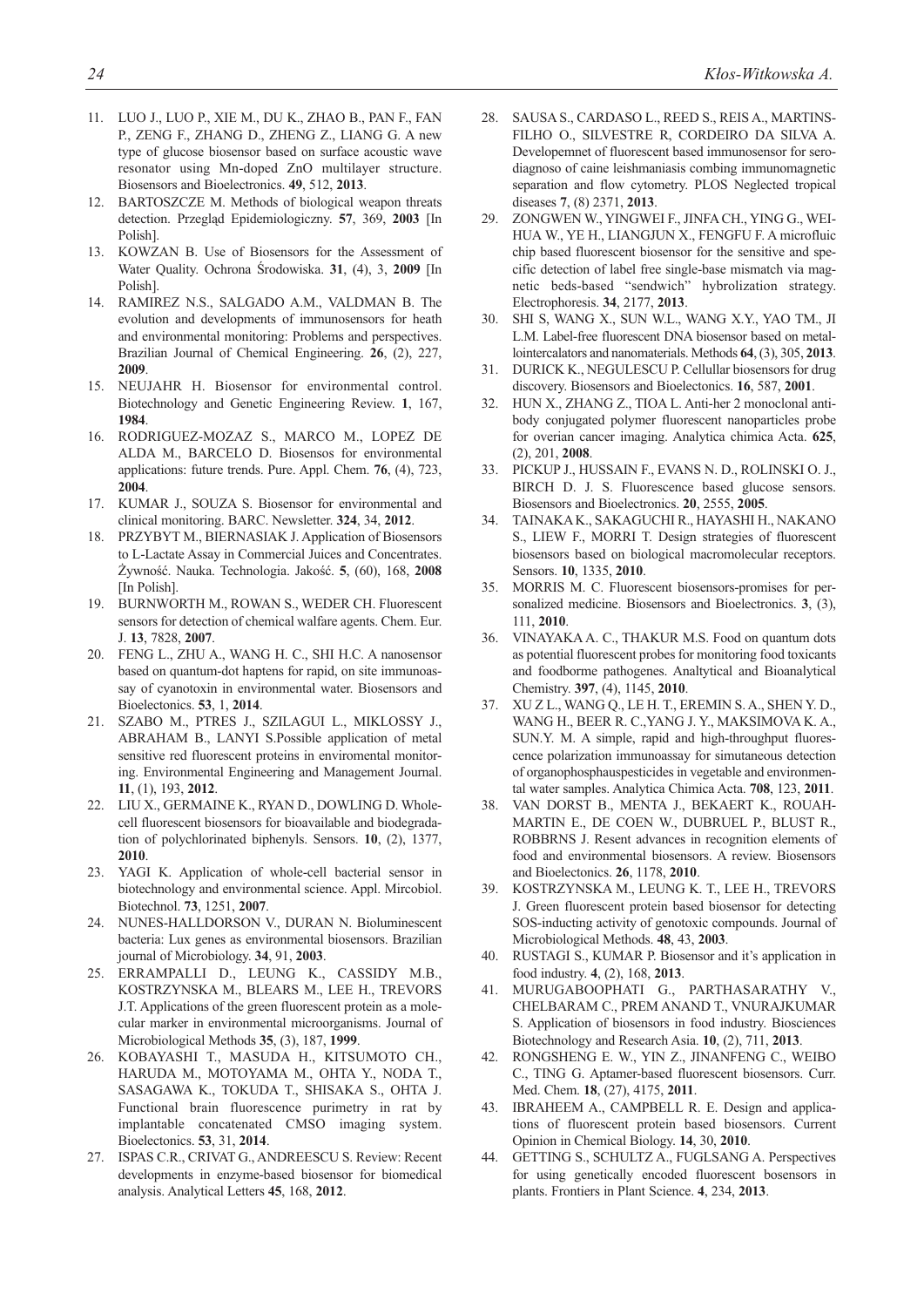- 11. LUO J., LUO P., XIE M., DU K., ZHAO B., PAN F., FAN P., ZENG F., ZHANG D., ZHENG Z., LIANG G. A new type of glucose biosensor based on surface acoustic wave resonator using Mn-doped ZnO multilayer structure. Biosensors and Bioelectronics. **49**, 512, **2013**.
- 12. BARTOSZCZE M. Methods of biological weapon threats detection. Przegląd Epidemiologiczny. **57**, 369, **2003** [In Polish].
- 13. KOWZAN B. Use of Biosensors for the Assessment of Water Quality. Ochrona Środowiska. **31**, (4), 3, **2009** [In Polish].
- 14. RAMIREZ N.S., SALGADO A.M., VALDMAN B. The evolution and developments of immunosensors for heath and environmental monitoring: Problems and perspectives. Brazilian Journal of Chemical Engineering. **26**, (2), 227, **2009**.
- 15. NEUJAHR H. Biosensor for environmental control. Biotechnology and Genetic Engineering Review. **1**, 167, **1984**.
- 16. RODRIGUEZ-MOZAZ S., MARCO M., LOPEZ DE ALDA M., BARCELO D. Biosensos for environmental applications: future trends. Pure. Appl. Chem. **76**, (4), 723, **2004**.
- 17. KUMAR J., SOUZA S. Biosensor for environmental and clinical monitoring. BARC. Newsletter. **324**, 34, **2012**.
- 18. PRZYBYT M., BIERNASIAK J. Application of Biosensors to L-Lactate Assay in Commercial Juices and Concentrates. Żywność. Nauka. Technologia. Jakość. **5**, (60), 168, **2008** [In Polish].
- 19. BURNWORTH M., ROWAN S., WEDER CH. Fluorescent sensors for detection of chemical walfare agents. Chem. Eur. J. **13**, 7828, **2007**.
- 20. FENG L., ZHU A., WANG H. C., SHI H.C. A nanosensor based on quantum-dot haptens for rapid, on site immunoassay of cyanotoxin in environmental water. Biosensors and Bioelectonics. **53**, 1, **2014**.
- 21. SZABO M., PTRES J., SZILAGUI L., MIKLOSSY J., ABRAHAM B., LANYI S.Possible application of metal sensitive red fluorescent proteins in enviromental monitoring. Environmental Engineering and Management Journal. **11**, (1), 193, **2012**.
- 22. LIU X., GERMAINE K., RYAN D., DOWLING D. Wholecell fluorescent biosensors for bioavailable and biodegradation of polychlorinated biphenyls. Sensors. **10**, (2), 1377, **2010**.
- 23. YAGI K. Application of whole-cell bacterial sensor in biotechnology and environmental science. Appl. Mircobiol. Biotechnol. **73**, 1251, **2007**.
- 24. NUNES-HALLDORSON V., DURAN N. Bioluminescent bacteria: Lux genes as environmental biosensors. Brazilian journal of Microbiology. **34**, 91, **2003**.
- 25. ERRAMPALLI D., LEUNG K., CASSIDY M.B., KOSTRZYNSKA M., BLEARS M., LEE H., TREVORS J.T. Applications of the green fluorescent protein as a molecular marker in environmental microorganisms. Journal of Microbiological Methods **35**, (3), 187, **1999**.
- 26. KOBAYASHI T., MASUDA H., KITSUMOTO CH., HARUDA M., MOTOYAMA M., OHTA Y., NODA T., SASAGAWA K., TOKUDA T., SHISAKA S., OHTA J. Functional brain fluorescence purimetry in rat by implantable concatenated CMSO imaging system. Bioelectonics. **53**, 31, **2014**.
- 27. ISPAS C.R., CRIVAT G., ANDREESCU S. Review: Recent developments in enzyme-based biosensor for biomedical analysis. Analytical Letters **45**, 168, **2012**.
- 28. SAUSA S., CARDASO L., REED S., REIS A., MARTINS-FILHO O., SILVESTRE R, CORDEIRO DA SILVA A. Developemnet of fluorescent based immunosensor for serodiagnoso of caine leishmaniasis combing immunomagnetic separation and flow cytometry. PLOS Neglected tropical diseases **7**, (8) 2371, **2013**.
- 29. ZONGWEN W., YINGWEI F., JINFA CH., YING G., WEI-HUA W., YE H., LIANGJUN X., FENGFU F. A microfluic chip based fluorescent biosensor for the sensitive and specific detection of label free single-base mismatch via magnetic beds-based "sendwich" hybrolization strategy. Electrophoresis. **34**, 2177, **2013**.
- 30. SHI S, WANG X., SUN W.L., WANG X.Y., YAO TM., JI L.M. Label-free fluorescent DNA biosensor based on metallointercalators and nanomaterials. Methods **64**, (3), 305, **2013**.
- 31. DURICK K., NEGULESCU P. Cellullar biosensors for drug discovery. Biosensors and Bioelectonics. **16**, 587, **2001**.
- 32. HUN X., ZHANG Z., TIOA L. Anti-her 2 monoclonal antibody conjugated polymer fluorescent nanoparticles probe for overian cancer imaging. Analytica chimica Acta. **625**, (2), 201, **2008**.
- 33. PICKUP J., HUSSAIN F., EVANS N. D., ROLINSKI O. J., BIRCH D. J. S. Fluorescence based glucose sensors. Biosensors and Bioelectronics. **20**, 2555, **2005**.
- 34. TAINAKA K., SAKAGUCHI R., HAYASHI H., NAKANO S., LIEW F., MORRI T. Design strategies of fluorescent biosensors based on biological macromolecular receptors. Sensors. **10**, 1335, **2010**.
- 35. MORRIS M. C. Fluorescent biosensors-promises for personalized medicine. Biosensors and Bioelectronics. **3**, (3), 111, **2010**.
- 36. VINAYAKA A. C., THAKUR M.S. Food on quantum dots as potential fluorescent probes for monitoring food toxicants and foodborme pathogenes. Analtytical and Bioanalytical Chemistry. **397**, (4), 1145, **2010**.
- 37. XU Z L., WANG Q., LE H. T., EREMIN S. A., SHEN Y. D., WANG H., BEER R. C.,YANG J. Y., MAKSIMOVA K. A., SUN.Y. M. A simple, rapid and high-throughput fluorescence polarization immunoassay for simutaneous detection of organophosphauspesticides in vegetable and environmental water samples. Analytica Chimica Acta. **708**, 123, **2011**.
- 38. VAN DORST B., MENTA J., BEKAERT K., ROUAH-MARTIN E., DE COEN W., DUBRUEL P., BLUST R., ROBBRNS J. Resent advances in recognition elements of food and environmental biosensors. A review. Biosensors and Bioelectonics. **26**, 1178, **2010**.
- 39. KOSTRZYNSKA M., LEUNG K. T., LEE H., TREVORS J. Green fluorescent protein based biosensor for detecting SOS-inducting activity of genotoxic compounds. Journal of Microbiological Methods. **48**, 43, **2003**.
- 40. RUSTAGI S., KUMAR P. Biosensor and it's application in food industry. **4**, (2), 168, **2013**.
- 41. MURUGABOOPHATI G., PARTHASARATHY V., CHELBARAM C., PREM ANAND T., VNURAJKUMAR S. Application of biosensors in food industry. Biosciences Biotechnology and Research Asia. **10**, (2), 711, **2013**.
- 42. RONGSHENG E. W., YIN Z., JINANFENG C., WEIBO C., TING G. Aptamer-based fluorescent biosensors. Curr. Med. Chem. **18**, (27), 4175, **2011**.
- 43. IBRAHEEM A., CAMPBELL R. E. Design and applications of fluorescent protein based biosensors. Current Opinion in Chemical Biology. **14**, 30, **2010**.
- 44. GETTING S., SCHULTZ A., FUGLSANG A. Perspectives for using genetically encoded fluorescent bosensors in plants. Frontiers in Plant Science. **4**, 234, **2013**.